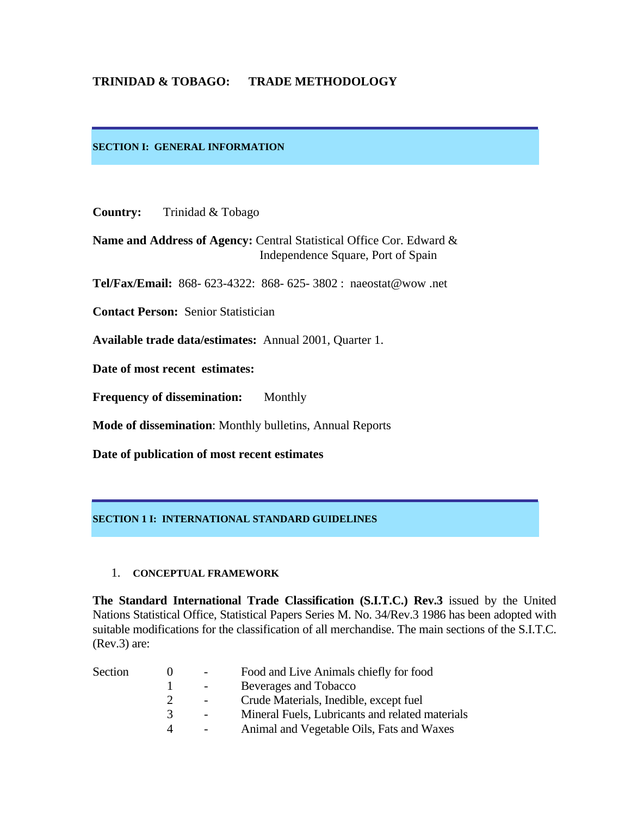# **TRINIDAD & TOBAGO: TRADE METHODOLOGY**

### **SECTION I: GENERAL INFORMATION**

**Country:** Trinidad & Tobago

**Name and Address of Agency:** Central Statistical Office Cor. Edward & Independence Square, Port of Spain

**Tel/Fax/Email:** 868- 623-4322: 868- 625- 3802 : naeostat@wow .net

**Contact Person:** Senior Statistician

**Available trade data/estimates:** Annual 2001, Quarter 1.

**Date of most recent estimates:** 

L

**Frequency of dissemination:** Monthly

**Mode of dissemination**: Monthly bulletins, Annual Reports

**Date of publication of most recent estimates** 

#### **SECTION 1 I: INTERNATIONAL STANDARD GUIDELINES**

#### 1. **CONCEPTUAL FRAMEWORK**

**The Standard International Trade Classification (S.I.T.C.) Rev.3** issued by the United Nations Statistical Office, Statistical Papers Series M. No. 34/Rev.3 1986 has been adopted with suitable modifications for the classification of all merchandise. The main sections of the S.I.T.C. (Rev.3) are:

| Section |   | Food and Live Animals chiefly for food          |
|---------|---|-------------------------------------------------|
|         |   | Beverages and Tobacco                           |
|         |   | Crude Materials, Inedible, except fuel          |
|         | 3 | Mineral Fuels, Lubricants and related materials |
|         |   | Animal and Vegetable Oils, Fats and Waxes       |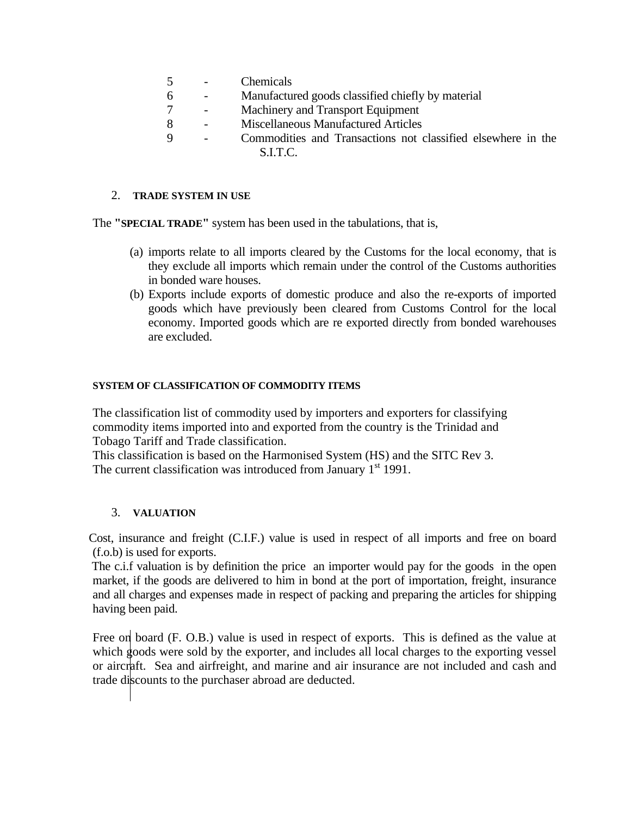- 5 Chemicals
- 6 Manufactured goods classified chiefly by material
- 7 Machinery and Transport Equipment
- 8 Miscellaneous Manufactured Articles
- 9 Commodities and Transactions not classified elsewhere in the S.I.T.C.

# 2. **TRADE SYSTEM IN USE**

The **"SPECIAL TRADE"** system has been used in the tabulations, that is,

- (a) imports relate to all imports cleared by the Customs for the local economy, that is they exclude all imports which remain under the control of the Customs authorities in bonded ware houses.
- (b) Exports include exports of domestic produce and also the re-exports of imported goods which have previously been cleared from Customs Control for the local economy. Imported goods which are re exported directly from bonded warehouses are excluded.

# **SYSTEM OF CLASSIFICATION OF COMMODITY ITEMS**

The classification list of commodity used by importers and exporters for classifying commodity items imported into and exported from the country is the Trinidad and Tobago Tariff and Trade classification.

This classification is based on the Harmonised System (HS) and the SITC Rev 3. The current classification was introduced from January 1<sup>st</sup> 1991.

# 3. **VALUATION**

 Cost, insurance and freight (C.I.F.) value is used in respect of all imports and free on board (f.o.b) is used for exports.

The c.i.f valuation is by definition the price an importer would pay for the goods in the open market, if the goods are delivered to him in bond at the port of importation, freight, insurance and all charges and expenses made in respect of packing and preparing the articles for shipping having been paid.

Free on board (F. O.B.) value is used in respect of exports. This is defined as the value at which goods were sold by the exporter, and includes all local charges to the exporting vessel or aircraft. Sea and airfreight, and marine and air insurance are not included and cash and trade discounts to the purchaser abroad are deducted.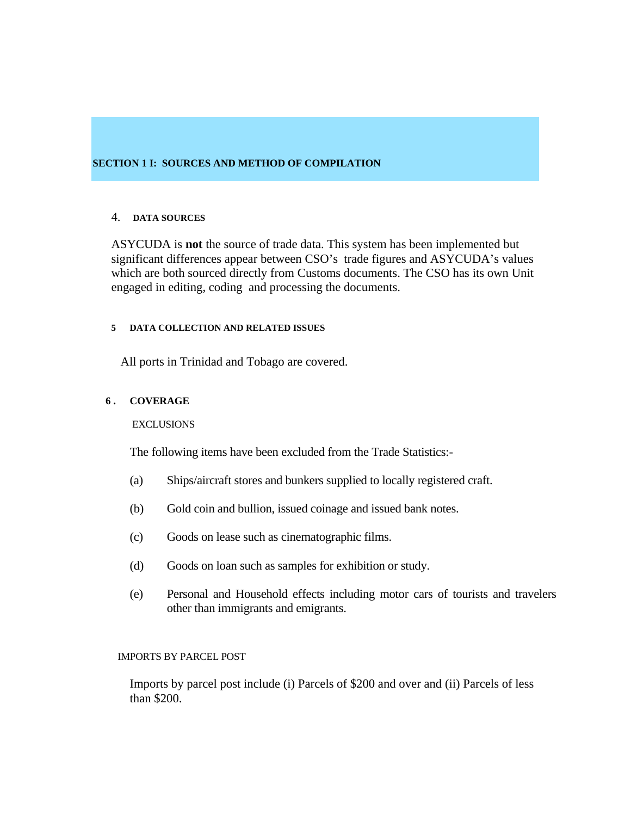### **SECTION 1 I: SOURCES AND METHOD OF COMPILATION**

#### 4. **DATA SOURCES**

ASYCUDA is **not** the source of trade data. This system has been implemented but significant differences appear between CSO's trade figures and ASYCUDA's values which are both sourced directly from Customs documents. The CSO has its own Unit engaged in editing, coding and processing the documents.

#### **5 DATA COLLECTION AND RELATED ISSUES**

All ports in Trinidad and Tobago are covered.

### **6 . COVERAGE**

#### **EXCLUSIONS**

The following items have been excluded from the Trade Statistics:-

- (a) Ships/aircraft stores and bunkers supplied to locally registered craft.
- (b) Gold coin and bullion, issued coinage and issued bank notes.
- (c) Goods on lease such as cinematographic films.
- (d) Goods on loan such as samples for exhibition or study.
- (e) Personal and Household effects including motor cars of tourists and travelers other than immigrants and emigrants.

#### IMPORTS BY PARCEL POST

Imports by parcel post include (i) Parcels of \$200 and over and (ii) Parcels of less than \$200.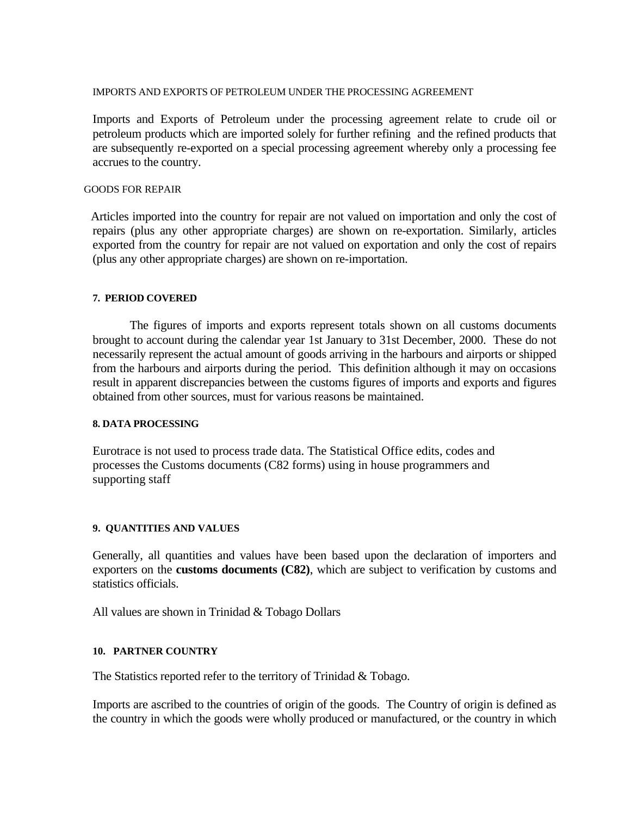#### IMPORTS AND EXPORTS OF PETROLEUM UNDER THE PROCESSING AGREEMENT

Imports and Exports of Petroleum under the processing agreement relate to crude oil or petroleum products which are imported solely for further refining and the refined products that are subsequently re-exported on a special processing agreement whereby only a processing fee accrues to the country.

### GOODS FOR REPAIR

 Articles imported into the country for repair are not valued on importation and only the cost of repairs (plus any other appropriate charges) are shown on re-exportation. Similarly, articles exported from the country for repair are not valued on exportation and only the cost of repairs (plus any other appropriate charges) are shown on re-importation.

### **7. PERIOD COVERED**

 The figures of imports and exports represent totals shown on all customs documents brought to account during the calendar year 1st January to 31st December, 2000. These do not necessarily represent the actual amount of goods arriving in the harbours and airports or shipped from the harbours and airports during the period. This definition although it may on occasions result in apparent discrepancies between the customs figures of imports and exports and figures obtained from other sources, must for various reasons be maintained.

#### **8. DATA PROCESSING**

Eurotrace is not used to process trade data. The Statistical Office edits, codes and processes the Customs documents (C82 forms) using in house programmers and supporting staff

### **9. QUANTITIES AND VALUES**

Generally, all quantities and values have been based upon the declaration of importers and exporters on the **customs documents (C82)**, which are subject to verification by customs and statistics officials.

All values are shown in Trinidad & Tobago Dollars

### **10. PARTNER COUNTRY**

The Statistics reported refer to the territory of Trinidad & Tobago.

 Imports are ascribed to the countries of origin of the goods. The Country of origin is defined as the country in which the goods were wholly produced or manufactured, or the country in which